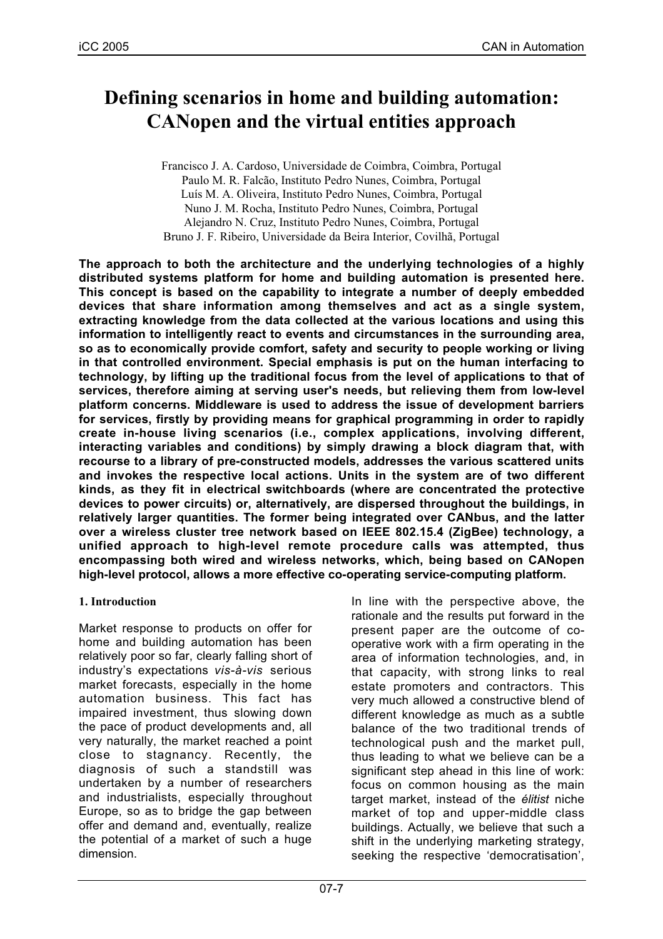# **Defining scenarios in home and building automation: CANopen and the virtual entities approach**

Francisco J. A. Cardoso, Universidade de Coimbra, Coimbra, Portugal Paulo M. R. Falcão, Instituto Pedro Nunes, Coimbra, Portugal Luís M. A. Oliveira, Instituto Pedro Nunes, Coimbra, Portugal Nuno J. M. Rocha, Instituto Pedro Nunes, Coimbra, Portugal Alejandro N. Cruz, Instituto Pedro Nunes, Coimbra, Portugal Bruno J. F. Ribeiro, Universidade da Beira Interior, Covilhã, Portugal

**The approach to both the architecture and the underlying technologies of a highly distributed systems platform for home and building automation is presented here. This concept is based on the capability to integrate a number of deeply embedded devices that share information among themselves and act as a single system, extracting knowledge from the data collected at the various locations and using this information to intelligently react to events and circumstances in the surrounding area, so as to economically provide comfort, safety and security to people working or living in that controlled environment. Special emphasis is put on the human interfacing to technology, by lifting up the traditional focus from the level of applications to that of services, therefore aiming at serving user's needs, but relieving them from low-level platform concerns. Middleware is used to address the issue of development barriers for services, firstly by providing means for graphical programming in order to rapidly create in-house living scenarios (i.e., complex applications, involving different, interacting variables and conditions) by simply drawing a block diagram that, with recourse to a library of pre-constructed models, addresses the various scattered units and invokes the respective local actions. Units in the system are of two different kinds, as they fit in electrical switchboards (where are concentrated the protective devices to power circuits) or, alternatively, are dispersed throughout the buildings, in relatively larger quantities. The former being integrated over CANbus, and the latter over a wireless cluster tree network based on IEEE 802.15.4 (ZigBee) technology, a unified approach to high-level remote procedure calls was attempted, thus encompassing both wired and wireless networks, which, being based on CANopen high-level protocol, allows a more effective co-operating service-computing platform.**

# **1. Introduction**

Market response to products on offer for home and building automation has been relatively poor so far, clearly falling short of industry's expectations *vis-à-vis* serious market forecasts, especially in the home automation business. This fact has impaired investment, thus slowing down the pace of product developments and, all very naturally, the market reached a point close to stagnancy. Recently, the diagnosis of such a standstill was undertaken by a number of researchers and industrialists, especially throughout Europe, so as to bridge the gap between offer and demand and, eventually, realize the potential of a market of such a huge dimension.

In line with the perspective above, the rationale and the results put forward in the present paper are the outcome of cooperative work with a firm operating in the area of information technologies, and, in that capacity, with strong links to real estate promoters and contractors. This very much allowed a constructive blend of different knowledge as much as a subtle balance of the two traditional trends of technological push and the market pull, thus leading to what we believe can be a significant step ahead in this line of work: focus on common housing as the main target market, instead of the *élitist* niche market of top and upper-middle class buildings. Actually, we believe that such a shift in the underlying marketing strategy, seeking the respective 'democratisation',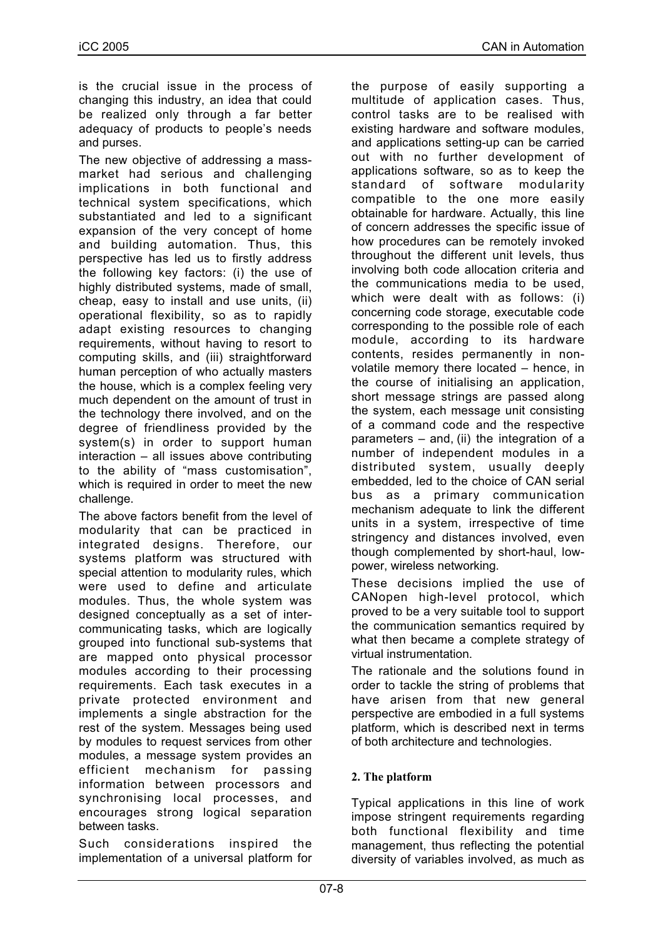is the crucial issue in the process of changing this industry, an idea that could be realized only through a far better adequacy of products to people's needs and purses.

The new objective of addressing a massmarket had serious and challenging implications in both functional and technical system specifications, which substantiated and led to a significant expansion of the very concept of home and building automation. Thus, this perspective has led us to firstly address the following key factors: (i) the use of highly distributed systems, made of small, cheap, easy to install and use units, (ii) operational flexibility, so as to rapidly adapt existing resources to changing requirements, without having to resort to computing skills, and (iii) straightforward human perception of who actually masters the house, which is a complex feeling very much dependent on the amount of trust in the technology there involved, and on the degree of friendliness provided by the system(s) in order to support human interaction – all issues above contributing to the ability of "mass customisation", which is required in order to meet the new challenge.

The above factors benefit from the level of modularity that can be practiced in integrated designs. Therefore, our systems platform was structured with special attention to modularity rules, which were used to define and articulate modules. Thus, the whole system was designed conceptually as a set of intercommunicating tasks, which are logically grouped into functional sub-systems that are mapped onto physical processor modules according to their processing requirements. Each task executes in a private protected environment and implements a single abstraction for the rest of the system. Messages being used by modules to request services from other modules, a message system provides an efficient mechanism for passing information between processors and synchronising local processes, and encourages strong logical separation between tasks.

Such considerations inspired the implementation of a universal platform for the purpose of easily supporting a multitude of application cases. Thus, control tasks are to be realised with existing hardware and software modules, and applications setting-up can be carried out with no further development of applications software, so as to keep the standard of software modularity compatible to the one more easily obtainable for hardware. Actually, this line of concern addresses the specific issue of how procedures can be remotely invoked throughout the different unit levels, thus involving both code allocation criteria and the communications media to be used, which were dealt with as follows: (i) concerning code storage, executable code corresponding to the possible role of each module, according to its hardware contents, resides permanently in nonvolatile memory there located – hence, in the course of initialising an application, short message strings are passed along the system, each message unit consisting of a command code and the respective parameters – and, (ii) the integration of a number of independent modules in a distributed system, usually deeply embedded, led to the choice of CAN serial bus as a primary communication mechanism adequate to link the different units in a system, irrespective of time stringency and distances involved, even though complemented by short-haul, lowpower, wireless networking.

These decisions implied the use of CANopen high-level protocol, which proved to be a very suitable tool to support the communication semantics required by what then became a complete strategy of virtual instrumentation.

The rationale and the solutions found in order to tackle the string of problems that have arisen from that new general perspective are embodied in a full systems platform, which is described next in terms of both architecture and technologies.

# **2. The platform**

Typical applications in this line of work impose stringent requirements regarding both functional flexibility and time management, thus reflecting the potential diversity of variables involved, as much as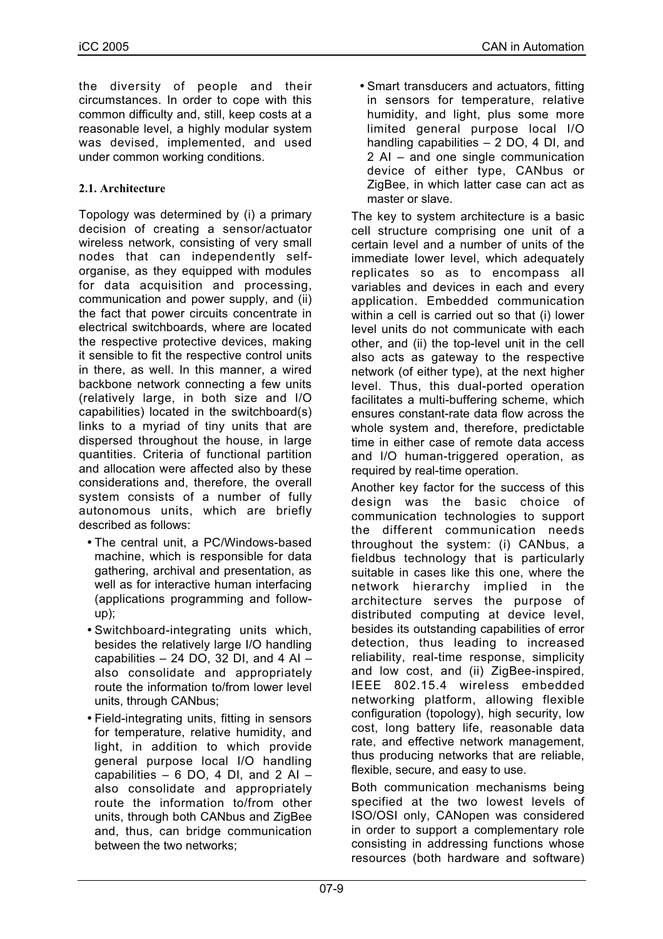the diversity of people and their circumstances. In order to cope with this common difficulty and, still, keep costs at a reasonable level, a highly modular system was devised, implemented, and used under common working conditions.

# **2.1. Architecture**

Topology was determined by (i) a primary decision of creating a sensor/actuator wireless network, consisting of very small nodes that can independently selforganise, as they equipped with modules for data acquisition and processing, communication and power supply, and (ii) the fact that power circuits concentrate in electrical switchboards, where are located the respective protective devices, making it sensible to fit the respective control units in there, as well. In this manner, a wired backbone network connecting a few units (relatively large, in both size and I/O capabilities) located in the switchboard(s) links to a myriad of tiny units that are dispersed throughout the house, in large quantities. Criteria of functional partition and allocation were affected also by these considerations and, therefore, the overall system consists of a number of fully autonomous units, which are briefly described as follows:

- The central unit, a PC/Windows-based machine, which is responsible for data gathering, archival and presentation, as well as for interactive human interfacing (applications programming and followup);
- Switchboard-integrating units which, besides the relatively large I/O handling capabilities  $-24$  DO, 32 DI, and 4 AI  $$ also consolidate and appropriately route the information to/from lower level units, through CANbus;
- Field-integrating units, fitting in sensors for temperature, relative humidity, and light, in addition to which provide general purpose local I/O handling capabilities  $-6$  DO, 4 DI, and 2 AI  $$ also consolidate and appropriately route the information to/from other units, through both CANbus and ZigBee and, thus, can bridge communication between the two networks;

• Smart transducers and actuators, fitting in sensors for temperature, relative humidity, and light, plus some more limited general purpose local I/O handling capabilities – 2 DO, 4 DI, and 2 AI – and one single communication device of either type, CANbus or ZigBee, in which latter case can act as master or slave.

The key to system architecture is a basic cell structure comprising one unit of a certain level and a number of units of the immediate lower level, which adequately replicates so as to encompass all variables and devices in each and every application. Embedded communication within a cell is carried out so that (i) lower level units do not communicate with each other, and (ii) the top-level unit in the cell also acts as gateway to the respective network (of either type), at the next higher level. Thus, this dual-ported operation facilitates a multi-buffering scheme, which ensures constant-rate data flow across the whole system and, therefore, predictable time in either case of remote data access and I/O human-triggered operation, as required by real-time operation.

Another key factor for the success of this design was the basic choice of communication technologies to support the different communication needs throughout the system: (i) CANbus, a fieldbus technology that is particularly suitable in cases like this one, where the network hierarchy implied in the architecture serves the purpose of distributed computing at device level, besides its outstanding capabilities of error detection, thus leading to increased reliability, real-time response, simplicity and low cost, and (ii) ZigBee-inspired, IEEE 802.15.4 wireless embedded networking platform, allowing flexible configuration (topology), high security, low cost, long battery life, reasonable data rate, and effective network management, thus producing networks that are reliable, flexible, secure, and easy to use.

Both communication mechanisms being specified at the two lowest levels of ISO/OSI only, CANopen was considered in order to support a complementary role consisting in addressing functions whose resources (both hardware and software)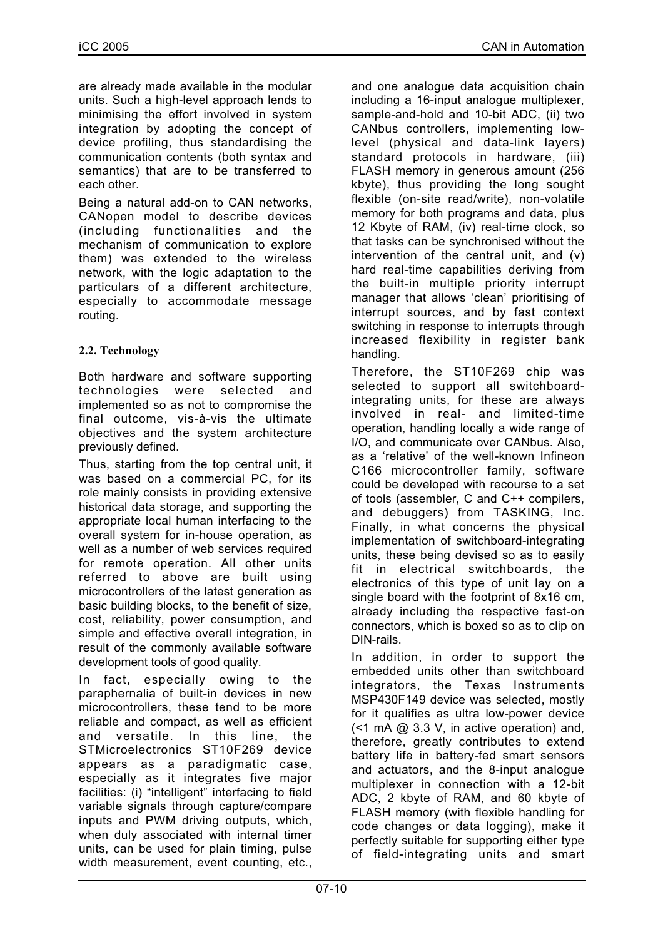are already made available in the modular units. Such a high-level approach lends to minimising the effort involved in system integration by adopting the concept of device profiling, thus standardising the communication contents (both syntax and semantics) that are to be transferred to each other.

Being a natural add-on to CAN networks, CANopen model to describe devices (including functionalities and the mechanism of communication to explore them) was extended to the wireless network, with the logic adaptation to the particulars of a different architecture, especially to accommodate message routing.

# **2.2. Technology**

Both hardware and software supporting technologies were selected and implemented so as not to compromise the final outcome, vis-à-vis the ultimate objectives and the system architecture previously defined.

Thus, starting from the top central unit, it was based on a commercial PC, for its role mainly consists in providing extensive historical data storage, and supporting the appropriate local human interfacing to the overall system for in-house operation, as well as a number of web services required for remote operation. All other units referred to above are built using microcontrollers of the latest generation as basic building blocks, to the benefit of size, cost, reliability, power consumption, and simple and effective overall integration, in result of the commonly available software development tools of good quality.

In fact, especially owing to the paraphernalia of built-in devices in new microcontrollers, these tend to be more reliable and compact, as well as efficient and versatile. In this line, the STMicroelectronics ST10F269 device appears as a paradigmatic case, especially as it integrates five major facilities: (i) "intelligent" interfacing to field variable signals through capture/compare inputs and PWM driving outputs, which, when duly associated with internal timer units, can be used for plain timing, pulse width measurement, event counting, etc.,

and one analogue data acquisition chain including a 16-input analogue multiplexer, sample-and-hold and 10-bit ADC, (ii) two CANbus controllers, implementing lowlevel (physical and data-link layers) standard protocols in hardware, (iii) FLASH memory in generous amount (256 kbyte), thus providing the long sought flexible (on-site read/write), non-volatile memory for both programs and data, plus 12 Kbyte of RAM, (iv) real-time clock, so that tasks can be synchronised without the intervention of the central unit, and (v) hard real-time capabilities deriving from the built-in multiple priority interrupt manager that allows 'clean' prioritising of interrupt sources, and by fast context switching in response to interrupts through increased flexibility in register bank handling.

Therefore, the ST10F269 chip was selected to support all switchboardintegrating units, for these are always involved in real- and limited-time operation, handling locally a wide range of I/O, and communicate over CANbus. Also, as a 'relative' of the well-known Infineon C166 microcontroller family, software could be developed with recourse to a set of tools (assembler, C and C++ compilers, and debuggers) from TASKING, Inc. Finally, in what concerns the physical implementation of switchboard-integrating units, these being devised so as to easily fit in electrical switchboards, the electronics of this type of unit lay on a single board with the footprint of 8x16 cm, already including the respective fast-on connectors, which is boxed so as to clip on DIN-rails.

In addition, in order to support the embedded units other than switchboard integrators, the Texas Instruments MSP430F149 device was selected, mostly for it qualifies as ultra low-power device  $($  <math>1 \text{ mA}  $@$  3.3 V, in active operation) and, therefore, greatly contributes to extend battery life in battery-fed smart sensors and actuators, and the 8-input analogue multiplexer in connection with a 12-bit ADC, 2 kbyte of RAM, and 60 kbyte of FLASH memory (with flexible handling for code changes or data logging), make it perfectly suitable for supporting either type of field-integrating units and smart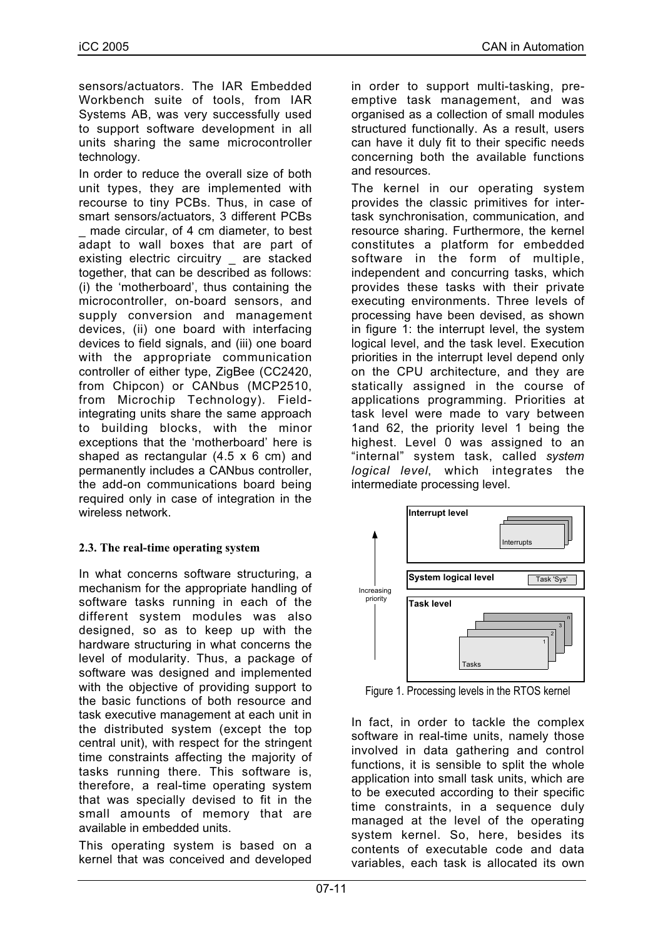sensors/actuators. The IAR Embedded Workbench suite of tools, from IAR Systems AB, was very successfully used to support software development in all units sharing the same microcontroller technology.

In order to reduce the overall size of both unit types, they are implemented with recourse to tiny PCBs. Thus, in case of smart sensors/actuators, 3 different PCBs made circular, of 4 cm diameter, to best adapt to wall boxes that are part of existing electric circuitry are stacked together, that can be described as follows: (i) the 'motherboard', thus containing the microcontroller, on-board sensors, and supply conversion and management devices, (ii) one board with interfacing devices to field signals, and (iii) one board with the appropriate communication controller of either type, ZigBee (CC2420, from Chipcon) or CANbus (MCP2510, from Microchip Technology). Fieldintegrating units share the same approach to building blocks, with the minor exceptions that the 'motherboard' here is shaped as rectangular  $(4.5 \times 6 \text{ cm})$  and permanently includes a CANbus controller, the add-on communications board being required only in case of integration in the wireless network.

# **2.3. The real-time operating system**

In what concerns software structuring, a mechanism for the appropriate handling of software tasks running in each of the different system modules was also designed, so as to keep up with the hardware structuring in what concerns the level of modularity. Thus, a package of software was designed and implemented with the objective of providing support to the basic functions of both resource and task executive management at each unit in the distributed system (except the top central unit), with respect for the stringent time constraints affecting the majority of tasks running there. This software is, therefore, a real-time operating system that was specially devised to fit in the small amounts of memory that are available in embedded units.

This operating system is based on a kernel that was conceived and developed in order to support multi-tasking, preemptive task management, and was organised as a collection of small modules structured functionally. As a result, users can have it duly fit to their specific needs concerning both the available functions and resources.

The kernel in our operating system provides the classic primitives for intertask synchronisation, communication, and resource sharing. Furthermore, the kernel constitutes a platform for embedded software in the form of multiple, independent and concurring tasks, which provides these tasks with their private executing environments. Three levels of processing have been devised, as shown in figure 1: the interrupt level, the system logical level, and the task level. Execution priorities in the interrupt level depend only on the CPU architecture, and they are statically assigned in the course of applications programming. Priorities at task level were made to vary between 1and 62, the priority level 1 being the highest. Level 0 was assigned to an "internal" system task, called *system logical level*, which integrates the intermediate processing level.



Figure 1. Processing levels in the RTOS kernel

In fact, in order to tackle the complex software in real-time units, namely those involved in data gathering and control functions, it is sensible to split the whole application into small task units, which are to be executed according to their specific time constraints, in a sequence duly managed at the level of the operating system kernel. So, here, besides its contents of executable code and data variables, each task is allocated its own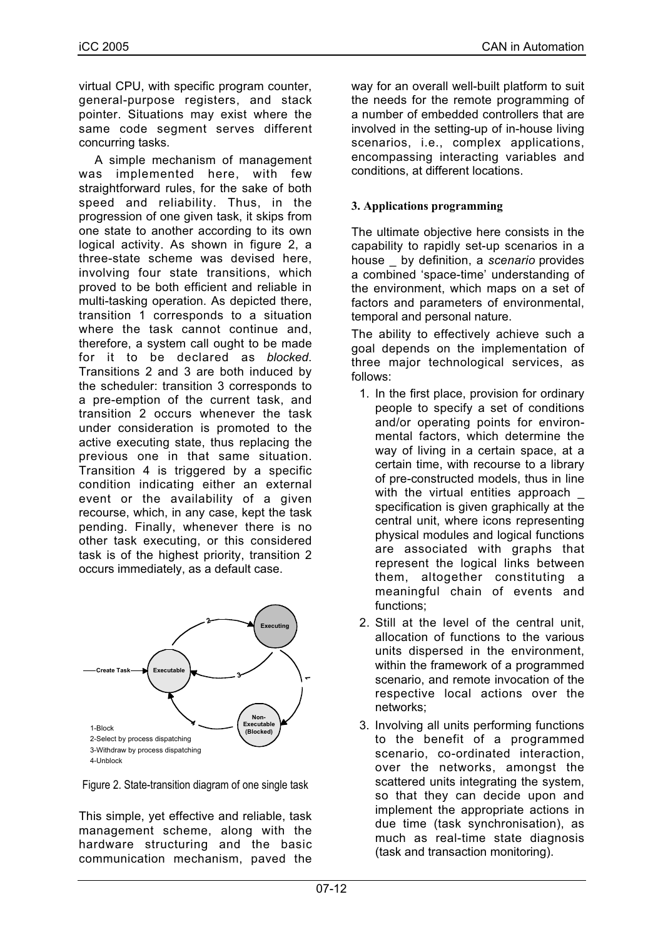virtual CPU, with specific program counter, general-purpose registers, and stack pointer. Situations may exist where the same code segment serves different concurring tasks.

A simple mechanism of management was implemented here, with few straightforward rules, for the sake of both speed and reliability. Thus, in the progression of one given task, it skips from one state to another according to its own logical activity. As shown in figure 2, a three-state scheme was devised here, involving four state transitions, which proved to be both efficient and reliable in multi-tasking operation. As depicted there, transition 1 corresponds to a situation where the task cannot continue and, therefore, a system call ought to be made for it to be declared as *blocked*. Transitions 2 and 3 are both induced by the scheduler: transition 3 corresponds to a pre-emption of the current task, and transition 2 occurs whenever the task under consideration is promoted to the active executing state, thus replacing the previous one in that same situation. Transition 4 is triggered by a specific condition indicating either an external event or the availability of a given recourse, which, in any case, kept the task pending. Finally, whenever there is no other task executing, or this considered task is of the highest priority, transition 2 occurs immediately, as a default case.



Figure 2. State-transition diagram of one single task

This simple, yet effective and reliable, task management scheme, along with the hardware structuring and the basic communication mechanism, paved the

way for an overall well-built platform to suit the needs for the remote programming of a number of embedded controllers that are involved in the setting-up of in-house living scenarios, i.e., complex applications, encompassing interacting variables and conditions, at different locations.

# **3. Applications programming**

The ultimate objective here consists in the capability to rapidly set-up scenarios in a house \_ by definition, a *scenario* provides a combined 'space-time' understanding of the environment, which maps on a set of factors and parameters of environmental, temporal and personal nature.

The ability to effectively achieve such a goal depends on the implementation of three major technological services, as follows:

- 1. In the first place, provision for ordinary people to specify a set of conditions and/or operating points for environmental factors, which determine the way of living in a certain space, at a certain time, with recourse to a library of pre-constructed models, thus in line with the virtual entities approach specification is given graphically at the central unit, where icons representing physical modules and logical functions are associated with graphs that represent the logical links between them, altogether constituting a meaningful chain of events and functions;
- 2. Still at the level of the central unit, allocation of functions to the various units dispersed in the environment, within the framework of a programmed scenario, and remote invocation of the respective local actions over the networks;
- 3. Involving all units performing functions to the benefit of a programmed scenario, co-ordinated interaction, over the networks, amongst the scattered units integrating the system, so that they can decide upon and implement the appropriate actions in due time (task synchronisation), as much as real-time state diagnosis (task and transaction monitoring).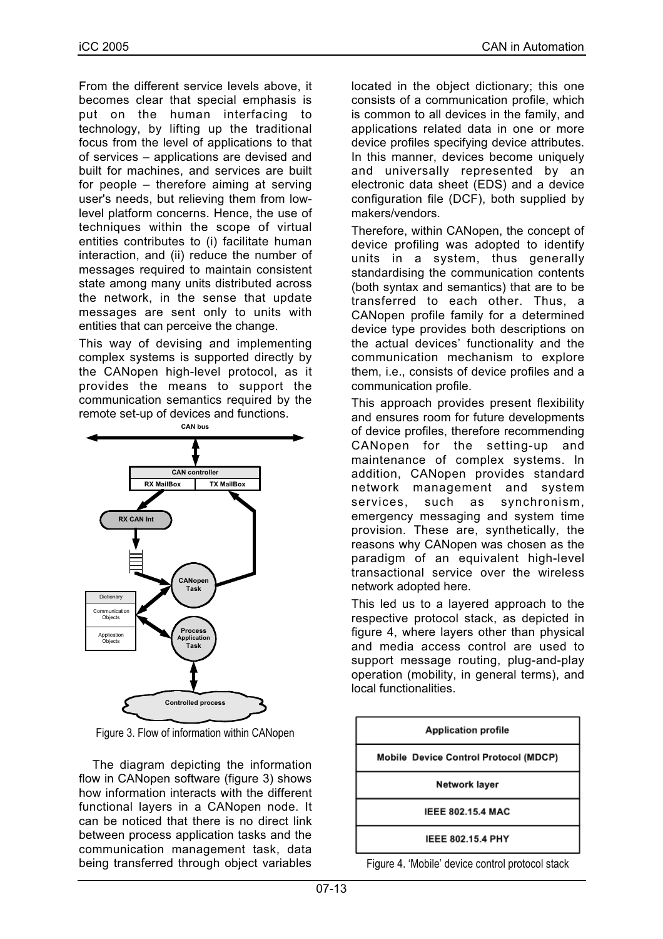From the different service levels above, it becomes clear that special emphasis is put on the human interfacing to technology, by lifting up the traditional focus from the level of applications to that of services – applications are devised and built for machines, and services are built for people – therefore aiming at serving user's needs, but relieving them from lowlevel platform concerns. Hence, the use of techniques within the scope of virtual entities contributes to (i) facilitate human interaction, and (ii) reduce the number of messages required to maintain consistent state among many units distributed across the network, in the sense that update messages are sent only to units with entities that can perceive the change.

This way of devising and implementing complex systems is supported directly by the CANopen high-level protocol, as it provides the means to support the communication semantics required by the remote set-up of devices and functions.



Figure 3. Flow of information within CANopen

The diagram depicting the information flow in CANopen software (figure 3) shows how information interacts with the different functional layers in a CANopen node. It can be noticed that there is no direct link between process application tasks and the communication management task, data being transferred through object variables

located in the object dictionary; this one consists of a communication profile, which is common to all devices in the family, and applications related data in one or more device profiles specifying device attributes. In this manner, devices become uniquely and universally represented by an electronic data sheet (EDS) and a device configuration file (DCF), both supplied by makers/vendors.

Therefore, within CANopen, the concept of device profiling was adopted to identify units in a system, thus generally standardising the communication contents (both syntax and semantics) that are to be transferred to each other. Thus, a CANopen profile family for a determined device type provides both descriptions on the actual devices' functionality and the communication mechanism to explore them, i.e., consists of device profiles and a communication profile.

This approach provides present flexibility and ensures room for future developments of device profiles, therefore recommending CANopen for the setting-up and maintenance of complex systems. In addition, CANopen provides standard network management and system services, such as synchronism, emergency messaging and system time provision. These are, synthetically, the reasons why CANopen was chosen as the paradigm of an equivalent high-level transactional service over the wireless network adopted here.

This led us to a layered approach to the respective protocol stack, as depicted in figure 4, where layers other than physical and media access control are used to support message routing, plug-and-play operation (mobility, in general terms), and local functionalities.